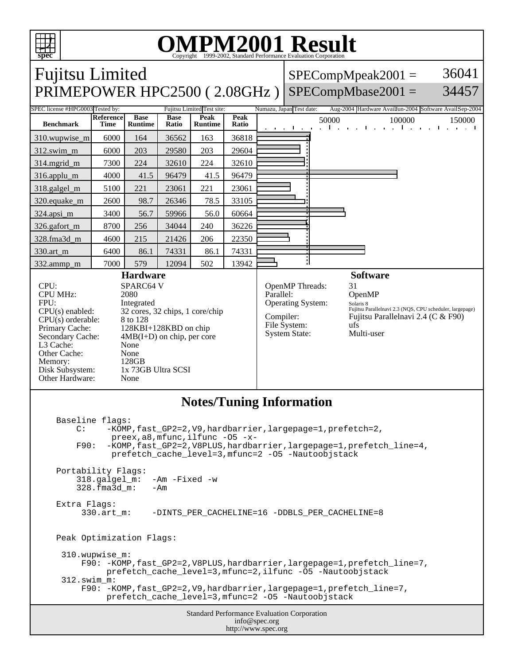

## OMPM2001 Result to Evaluation Corporation

| <b>Fujitsu Limited</b>                                                                                                                                                                                                                                                                                                                                                                                                                                                                                                                                                                                                                                                                                                                                             |                                 |                               |                      |                            |                          |                                                                                                                                                                                                                                                                                      | 36041<br>$SPECompMpeak2001 =$ |                                                        |                                |        |                                           |
|--------------------------------------------------------------------------------------------------------------------------------------------------------------------------------------------------------------------------------------------------------------------------------------------------------------------------------------------------------------------------------------------------------------------------------------------------------------------------------------------------------------------------------------------------------------------------------------------------------------------------------------------------------------------------------------------------------------------------------------------------------------------|---------------------------------|-------------------------------|----------------------|----------------------------|--------------------------|--------------------------------------------------------------------------------------------------------------------------------------------------------------------------------------------------------------------------------------------------------------------------------------|-------------------------------|--------------------------------------------------------|--------------------------------|--------|-------------------------------------------|
| 34457<br>$SPECompMbase2001 =$<br>PRIMEPOWER HPC2500 (2.08GHz)                                                                                                                                                                                                                                                                                                                                                                                                                                                                                                                                                                                                                                                                                                      |                                 |                               |                      |                            |                          |                                                                                                                                                                                                                                                                                      |                               |                                                        |                                |        |                                           |
| SPEC license #HPG0003 Tested by:                                                                                                                                                                                                                                                                                                                                                                                                                                                                                                                                                                                                                                                                                                                                   |                                 |                               |                      | Fujitsu Limited Test site: | Numazu, Japan Test date: |                                                                                                                                                                                                                                                                                      |                               | Aug-2004 Hardware Availlun-2004 Software AvailSep-2004 |                                |        |                                           |
| <b>Benchmark</b>                                                                                                                                                                                                                                                                                                                                                                                                                                                                                                                                                                                                                                                                                                                                                   | <b>Reference</b><br><b>Time</b> | <b>Base</b><br><b>Runtime</b> | <b>Base</b><br>Ratio | Peak<br><b>Runtime</b>     | Peak<br>Ratio            |                                                                                                                                                                                                                                                                                      | and a collection              | 50000                                                  | <b>The Committee Committee</b> | 100000 | 150000<br>the contract of the contract of |
| 310.wupwise_m                                                                                                                                                                                                                                                                                                                                                                                                                                                                                                                                                                                                                                                                                                                                                      | 6000                            | 164                           | 36562                | 163                        | 36818                    |                                                                                                                                                                                                                                                                                      |                               |                                                        |                                |        |                                           |
| 312.swim_m                                                                                                                                                                                                                                                                                                                                                                                                                                                                                                                                                                                                                                                                                                                                                         | 6000                            | 203                           | 29580                | 203                        | 29604                    |                                                                                                                                                                                                                                                                                      |                               |                                                        |                                |        |                                           |
| 314.mgrid_m                                                                                                                                                                                                                                                                                                                                                                                                                                                                                                                                                                                                                                                                                                                                                        | 7300                            | 224                           | 32610                | 224                        | 32610                    |                                                                                                                                                                                                                                                                                      |                               |                                                        |                                |        |                                           |
| 316.applu_m                                                                                                                                                                                                                                                                                                                                                                                                                                                                                                                                                                                                                                                                                                                                                        | 4000                            | 41.5                          | 96479                | 41.5                       | 96479                    |                                                                                                                                                                                                                                                                                      |                               |                                                        |                                |        |                                           |
| 318.galgel_m                                                                                                                                                                                                                                                                                                                                                                                                                                                                                                                                                                                                                                                                                                                                                       | 5100                            | 221                           | 23061                | 221                        | 23061                    |                                                                                                                                                                                                                                                                                      |                               |                                                        |                                |        |                                           |
| 320.equake_m                                                                                                                                                                                                                                                                                                                                                                                                                                                                                                                                                                                                                                                                                                                                                       | 2600                            | 98.7                          | 26346                | 78.5                       | 33105                    |                                                                                                                                                                                                                                                                                      |                               |                                                        |                                |        |                                           |
| 324.apsi_m                                                                                                                                                                                                                                                                                                                                                                                                                                                                                                                                                                                                                                                                                                                                                         | 3400                            | 56.7                          | 59966                | 56.0                       | 60664                    |                                                                                                                                                                                                                                                                                      |                               |                                                        |                                |        |                                           |
| 326.gafort_m                                                                                                                                                                                                                                                                                                                                                                                                                                                                                                                                                                                                                                                                                                                                                       | 8700                            | 256                           | 34044                | 240                        | 36226                    |                                                                                                                                                                                                                                                                                      |                               |                                                        |                                |        |                                           |
| 328.fma3d_m                                                                                                                                                                                                                                                                                                                                                                                                                                                                                                                                                                                                                                                                                                                                                        | 4600                            | 215                           | 21426                | 206                        | 22350                    |                                                                                                                                                                                                                                                                                      |                               |                                                        |                                |        |                                           |
| 330.art_m                                                                                                                                                                                                                                                                                                                                                                                                                                                                                                                                                                                                                                                                                                                                                          | 6400                            | 86.1                          | 74331                | 86.1                       | 74331                    |                                                                                                                                                                                                                                                                                      |                               |                                                        |                                |        |                                           |
| 332.ammp_m                                                                                                                                                                                                                                                                                                                                                                                                                                                                                                                                                                                                                                                                                                                                                         | 7000                            | 579                           | 12094                | 502                        | 13942                    |                                                                                                                                                                                                                                                                                      |                               |                                                        |                                |        |                                           |
| <b>Hardware</b><br>SPARC64 V<br>CPU:<br><b>CPU MHz:</b><br>2080<br>FPU:<br>Integrated<br>$CPU(s)$ enabled:<br>32 cores, 32 chips, 1 core/chip<br>$CPU(s)$ orderable:<br>8 to 128<br>Primary Cache:<br>128KBI+128KBD on chip<br>$4MB(I+D)$ on chip, per core<br>Secondary Cache:<br>L3 Cache:<br>None<br>Other Cache:<br>None<br>128GB<br>Memory:<br>1x 73GB Ultra SCSI<br>Disk Subsystem:<br>Other Hardware:<br>None                                                                                                                                                                                                                                                                                                                                               |                                 |                               |                      |                            |                          | <b>Software</b><br>OpenMP Threads:<br>31<br>Parallel:<br>OpenMP<br><b>Operating System:</b><br>Solaris 8<br>Fujitsu Parallelnavi 2.3 (NQS, CPU scheduler, largepage)<br>Compiler:<br>Fujitsu Parallelnavi 2.4 (C & F90)<br>File System:<br>ufs<br><b>System State:</b><br>Multi-user |                               |                                                        |                                |        |                                           |
| <b>Notes/Tuning Information</b><br>Baseline flags:<br>-KOMP, fast_GP2=2, V9, hardbarrier, largepage=1, prefetch=2,<br>C:<br>preex, $a8$ , mfunc, ilfunc -05 -x-<br>F90:<br>-KOMP, fast_GP2=2, V8PLUS, hardbarrier, largepage=1, prefetch_line=4,<br>prefetch_cache_level=3, mfunc=2 -05 -Nautoobjstack<br>Portability Flags:<br>$-Am$ $-Fixed$ $-w$<br>$318.galgel_m$ :<br>328.fma3d m:<br>– Am<br>Extra Flags:<br>330.art m:<br>-DINTS PER CACHELINE=16 -DDBLS PER CACHELINE=8<br>Peak Optimization Flags:<br>310.wupwise_m:<br>F90: -KOMP, fast_GP2=2, V8PLUS, hardbarrier, largepage=1, prefetch_line=7,<br>prefetch_cache_level=3, mfunc=2, ilfunc -05 -Nautoobjstack<br>312.swim_m:<br>F90: -KOMP, fast_GP2=2, V9, hardbarrier, largepage=1, prefetch_line=7, |                                 |                               |                      |                            |                          |                                                                                                                                                                                                                                                                                      |                               |                                                        |                                |        |                                           |
| prefetch_cache_level=3, mfunc=2 -05 -Nautoobjstack<br>Standard Performance Evaluation Corporation<br>info@spec.org<br>http://www.spec.org                                                                                                                                                                                                                                                                                                                                                                                                                                                                                                                                                                                                                          |                                 |                               |                      |                            |                          |                                                                                                                                                                                                                                                                                      |                               |                                                        |                                |        |                                           |